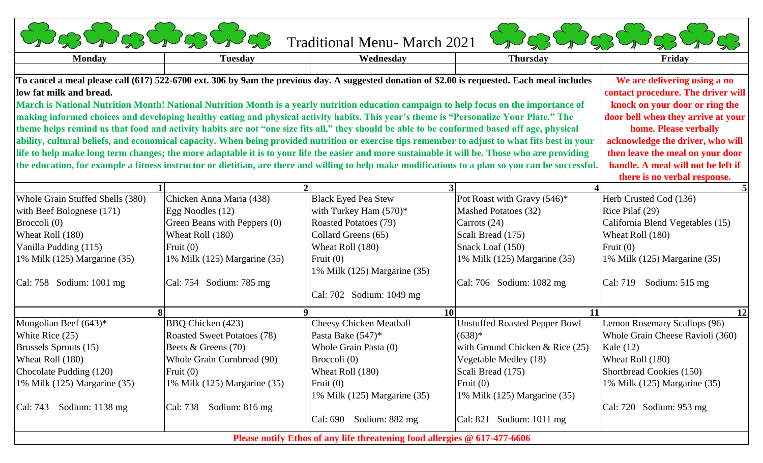| <b>Conshabes</b>                                                                                                                                   |                                    | Traditional Menu- March 2021   |                                      | <b>BAGAGAGE</b>                  |
|----------------------------------------------------------------------------------------------------------------------------------------------------|------------------------------------|--------------------------------|--------------------------------------|----------------------------------|
| <b>Monday</b>                                                                                                                                      | <b>Tuesday</b>                     | Wednesday                      | <b>Thursday</b>                      | Friday                           |
| To cancel a meal please call (617) 522-6700 ext. 306 by 9am the previous day. A suggested donation of \$2.00 is requested. Each meal includes      | We are delivering using a no       |                                |                                      |                                  |
| low fat milk and bread.                                                                                                                            | contact procedure. The driver will |                                |                                      |                                  |
| March is National Nutrition Month! National Nutrition Month is a yearly nutrition education campaign to help focus on the importance of            | knock on your door or ring the     |                                |                                      |                                  |
| making informed choices and developing healthy eating and physical activity habits. This year's theme is "Personalize Your Plate." The             | door bell when they arrive at your |                                |                                      |                                  |
| theme helps remind us that food and activity habits are not "one size fits all," they should be able to be conformed based off age, physical       | home. Please verbally              |                                |                                      |                                  |
| ability, cultural beliefs, and economical capacity. When being provided nutrition or exercise tips remember to adjust to what fits best in your    | acknowledge the driver, who will   |                                |                                      |                                  |
| life to help make long term changes; the more adaptable it is to your life the easier and more sustainable it will be. Those who are providing     | then leave the meal on your door   |                                |                                      |                                  |
| the education, for example a fitness instructor or dietitian, are there and willing to help make modifications to a plan so you can be successful. | handle. A meal will not be left if |                                |                                      |                                  |
|                                                                                                                                                    |                                    |                                |                                      | there is no verbal response.     |
|                                                                                                                                                    |                                    |                                |                                      |                                  |
| Whole Grain Stuffed Shells (380)                                                                                                                   | Chicken Anna Maria (438)           | <b>Black Eyed Pea Stew</b>     | Pot Roast with Gravy (546)*          | Herb Crusted Cod (136)           |
| with Beef Bolognese $(171)$                                                                                                                        | Egg Noodles (12)                   | with Turkey Ham $(570)^*$      | <b>Mashed Potatoes (32)</b>          | Rice Pilaf $(29)$                |
| Broccoli (0)                                                                                                                                       | Green Beans with Peppers (0)       | Roasted Potatoes (79)          | Carrots (24)                         | California Blend Vegetables (15) |
| Wheat Roll (180)                                                                                                                                   | Wheat Roll (180)                   | Collard Greens (65)            | Scali Bread (175)                    | Wheat Roll (180)                 |
| Vanilla Pudding (115)                                                                                                                              | Fruit $(0)$                        | Wheat Roll (180)               | Snack Loaf (150)                     | Fruit $(0)$                      |
| 1% Milk $(125)$ Margarine $(35)$                                                                                                                   | 1% Milk (125) Margarine (35)       | Fruit $(0)$                    | 1% Milk (125) Margarine (35)         | 1% Milk (125) Margarine (35)     |
|                                                                                                                                                    |                                    | 1% Milk (125) Margarine (35)   |                                      |                                  |
| $ Cal: 758$ Sodium: 1001 mg                                                                                                                        | Cal: 754 Sodium: 785 mg            |                                | Cal: 706 Sodium: 1082 mg             | Sodium: 515 mg<br>Cal: 719       |
|                                                                                                                                                    |                                    | Cal: 702 Sodium: 1049 mg       |                                      |                                  |
|                                                                                                                                                    |                                    |                                | 10 <sup>1</sup><br>11                | 12                               |
| Mongolian Beef $(643)*$                                                                                                                            | <b>BBQ Chicken (423)</b>           | <b>Cheesy Chicken Meatball</b> | <b>Unstuffed Roasted Pepper Bowl</b> | Lemon Rosemary Scallops (96)     |
| White Rice (25)                                                                                                                                    | <b>Roasted Sweet Potatoes (78)</b> | Pasta Bake (547)*              | $(638)*$                             | Whole Grain Cheese Ravioli (360) |
| <b>Brussels Sprouts (15)</b>                                                                                                                       | Beets & Greens (70)                | Whole Grain Pasta (0)          | with Ground Chicken $& Rice (25)$    | Kale $(12)$                      |
| Wheat Roll (180)                                                                                                                                   | Whole Grain Cornbread (90)         | Broccoli $(0)$                 | Vegetable Medley (18)                | Wheat Roll (180)                 |
| Chocolate Pudding (120)                                                                                                                            | Fruit $(0)$                        | Wheat Roll (180)               | Scali Bread (175)                    | Shortbread Cookies (150)         |
| 1% Milk $(125)$ Margarine $(35)$                                                                                                                   | 1% Milk (125) Margarine (35)       | Fruit $(0)$                    | Fruit $(0)$                          | 1% Milk $(125)$ Margarine $(35)$ |
|                                                                                                                                                    |                                    | 1% Milk (125) Margarine (35)   | 1% Milk (125) Margarine (35)         |                                  |
|                                                                                                                                                    |                                    |                                |                                      |                                  |
| Sodium: 1138 mg<br>Cal: 743                                                                                                                        | Cal: 738<br>Sodium: $816$ mg       |                                |                                      | Cal: $720$ Sodium: $953$ mg      |